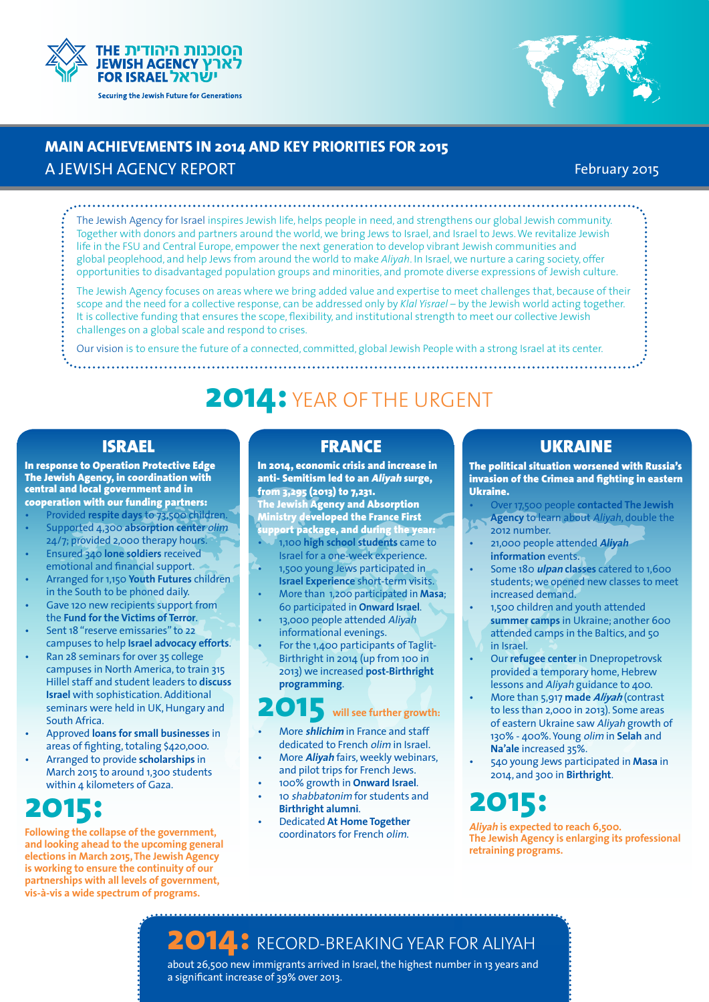



## **MAIN ACHIEVEMENTS IN 2014 AND KEY PRIORITIES FOR 2015**

### A JEWISH AGENCY REPORT

### February 2015

The Jewish Agency for Israel inspires Jewish life, helps people in need, and strengthens our global Jewish community. Together with donors and partners around the world, we bring Jews to Israel, and Israel to Jews. We revitalize Jewish life in the FSU and Central Europe, empower the next generation to develop vibrant Jewish communities and global peoplehood, and help Jews from around the world to make *Aliyah*. In Israel, we nurture a caring society, offer opportunities to disadvantaged population groups and minorities, and promote diverse expressions of Jewish culture.

The Jewish Agency focuses on areas where we bring added value and expertise to meet challenges that, because of their scope and the need for a collective response, can be addressed only by *Klal Yisrael* – by the Jewish world acting together. It is collective funding that ensures the scope, flexibility, and institutional strength to meet our collective Jewish challenges on a global scale and respond to crises.

Our vision is to ensure the future of a connected, committed, global Jewish People with a strong Israel at its center.

# **2014:** YEAR OF THE URGENT

In response to Operation Protective Edge The Jewish Agency, in coordination with central and local government and in cooperation with our funding partners:

Provided respite days to 73,500 children.

- Supported 4,300 absorption center olim 24/7; provided 2,000 therapy hours.
- **Ensured 340 lone soldiers received** emotional and financial support.
- • Arranged for 1,150 **Youth Futures** children in the South to be phoned daily.
- Gave 120 new recipients support from the **Fund for the Victims of Terror**.
- Sent 18 "reserve emissaries" to 22 campuses to help **Israel advocacy efforts**.
- Ran 28 seminars for over 35 college campuses in North America, to train 315 Hillel staff and student leaders to **discuss Israel** with sophistication. Additional seminars were held in UK, Hungary and South Africa.
- Approved **loans for small businesses** in areas of fighting, totaling \$420,000.
- Arranged to provide **scholarships** in March 2015 to around 1,300 students within 4 kilometers of Gaza.

# **2015:**

**Following the collapse of the government, and looking ahead to the upcoming general elections in March 2015, The Jewish Agency is working to ensure the continuity of our partnerships with all levels of government, vis-à-vis a wide spectrum of programs.**

### ISRAEL FRANCE

In 2014, economic crisis and increase in anti- Semitism led to an Aliyah surge, from 3,295 (2013) to 7,231.

The Jewish Agency and Absorption Ministry developed the France First support package, and during the yea

- 1,100 high school students came to Israel for a one-week experience.
- 1,500 young Jews participated in **Israel Experience** short-term visits.
- • More than 1,200 participated in **Masa**; 60 participated in **Onward Israel**.
- 13,000 people attended Aliyah informational evenings.
- For the  $1,400$  participants of Taglit-Birthright in 2014 (up from 100 in 2013) we increased **post-Birthright programming**.

# **2015 will see further growth:**

- **More shlichim** in France and staff dedicated to French olim in Israel.
- More *Aliyah* fairs, weekly webinars, and pilot trips for French Jews.
- 100% growth in **Onward Israel**.
- 10 shabbatonim for students and **Birthright alumni**.
- **Dedicated At Home Together** coordinators for French olim.

### UKRAINE

The political situation worsened with Russia's invasion of the Crimea and fighting in eastern Ukraine.

- Over 17,500 people **contacted The Jewish Agency** to learn about Aliyah, double the
- 2012 number. • 21,000 people attended **Aliyah**
- **information** events.
- Some 180 *ulpan* classes catered to 1,600 students; we opened new classes to meet increased demand.
- 1,500 children and youth attended **summer camps** in Ukraine; another 600 attended camps in the Baltics, and 50 in Israel.
- **Our refugee center** in Dnepropetrovsk provided a temporary home, Hebrew lessons and Aliyah guidance to 400.
- • More than 5,917 **made Aliyah** (contrast to less than 2,000 in 2013). Some areas of eastern Ukraine saw Aliyah growth of 130% - 400%. Young olim in **Selah** and **Na'ale** increased 35%.
- 540 young Jews participated in Masa in 2014, and 300 in **Birthright**.

# **2015:**

**Aliyah is expected to reach 6,500. The Jewish Agency is enlarging its professional retraining programs.**

# **2014:** RECORD-BREAKING YEAR FOR ALIYAH

about 26,500 new immigrants arrived in Israel, the highest number in 13 years and a significant increase of 39% over 2013.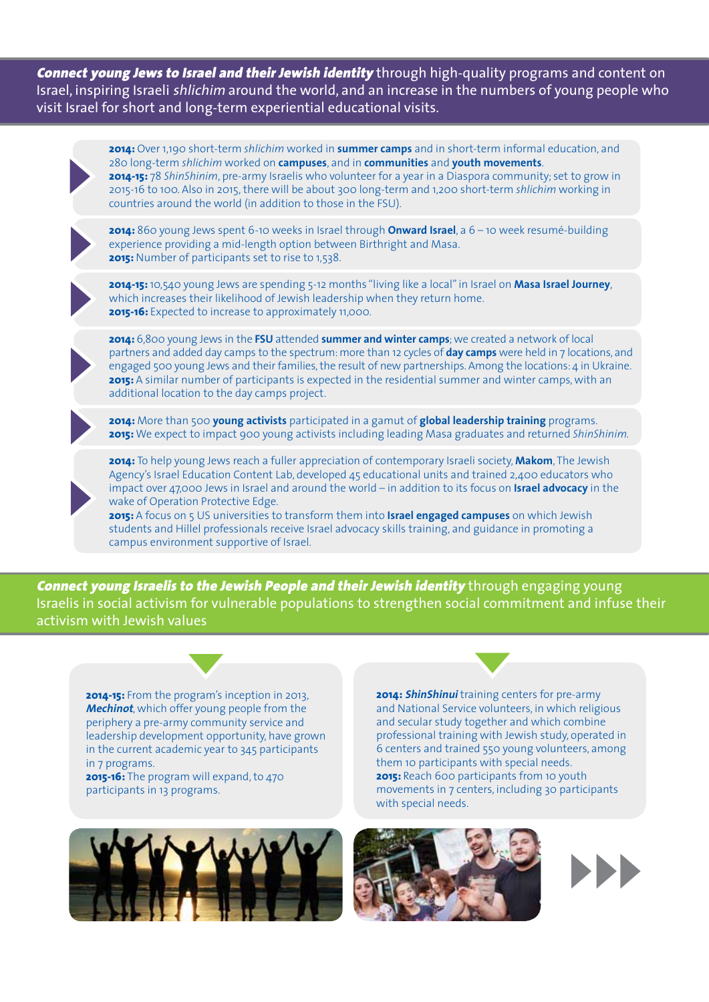Connect young Jews to Israel and their Jewish identity through high-quality programs and content on Israel, inspiring Israeli shlichim around the world, and an increase in the numbers of young people who visit Israel for short and long-term experiential educational visits.

**2014:** Over 1,190 short-term *shlichim* worked in **summer camps** and in short-term informal education, and 280 long-term *shlichim* worked on **campuses**, and in **communities** and **youth movements**. **2014-15:** 78 *ShinShinim*, pre-army Israelis who volunteer for a year in a Diaspora community; set to grow in 2015-16 to 100. Also in 2015, there will be about 300 long-term and 1,200 short-term *shlichim* working in countries around the world (in addition to those in the FSU). **2014:** 860 young Jews spent 6-10 weeks in Israel through **Onward Israel**, a 6 – 10 week resumé-building experience providing a mid-length option between Birthright and Masa. **2015:** Number of participants set to rise to 1,538. **2014-15:** 10,540 young Jews are spending 5-12 months "living like a local" in Israel on **Masa Israel Journey**, which increases their likelihood of Jewish leadership when they return home. **2015-16:** Expected to increase to approximately 11,000. **2014:** 6,800 young Jews in the **FSU** attended **summer and winter camps**; we created a network of local partners and added day camps to the spectrum: more than 12 cycles of **day camps** were held in 7 locations, and engaged 500 young Jews and their families, the result of new partnerships. Among the locations: 4 in Ukraine. **2015:** A similar number of participants is expected in the residential summer and winter camps, with an additional location to the day camps project. **2014:** More than 500 **young activists** participated in a gamut of **global leadership training** programs. **2015:** We expect to impact 900 young activists including leading Masa graduates and returned *ShinShinim.* **2014:** To help young Jews reach a fuller appreciation of contemporary Israeli society, **Makom**, The Jewish Agency's Israel Education Content Lab, developed 45 educational units and trained 2,400 educators who impact over 47,000 Jews in Israel and around the world – in addition to its focus on **Israel advocacy** in the

wake of Operation Protective Edge. **2015:** A focus on 5 US universities to transform them into **Israel engaged campuses** on which Jewish students and Hillel professionals receive Israel advocacy skills training, and guidance in promoting a campus environment supportive of Israel.

**Connect young Israelis to the Jewish People and their Jewish identity** through engaging young Israelis in social activism for vulnerable populations to strengthen social commitment and infuse their activism with Jewish values

**2014-15:** From the program's inception in 2013, **Mechinot**, which offer young people from the periphery a pre-army community service and leadership development opportunity, have grown in the current academic year to 345 participants in 7 programs.

**2015-16:** The program will expand, to 470 participants in 13 programs.



**2014: ShinShinui** training centers for pre-army and National Service volunteers, in which religious and secular study together and which combine professional training with Jewish study, operated in 6 centers and trained 550 young volunteers, among them 10 participants with special needs. **2015:** Reach 600 participants from 10 youth movements in 7 centers, including 30 participants with special needs.



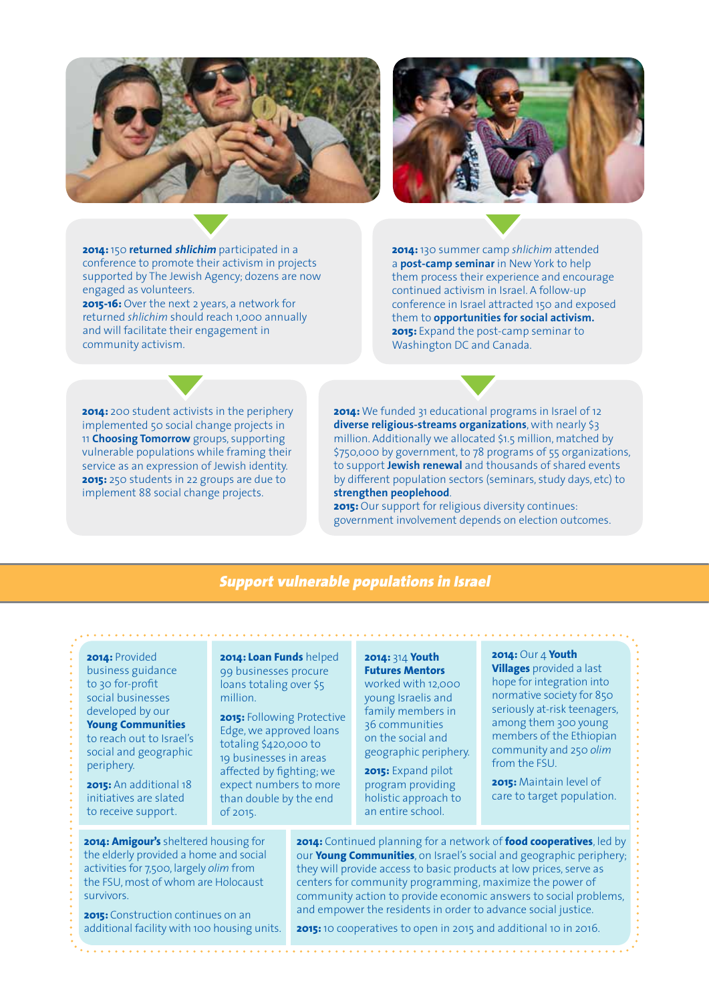



**2014:** 150 **returned shlichim** participated in a conference to promote their activism in projects supported by The Jewish Agency; dozens are now engaged as volunteers.

**2015-16:** Over the next 2 years, a network for returned *shlichim* should reach 1,000 annually and will facilitate their engagement in community activism.

**2014:** 130 summer camp *shlichim* attended a **post-camp seminar** in New York to help them process their experience and encourage continued activism in Israel. A follow-up conference in Israel attracted 150 and exposed them to **opportunities for social activism. 2015:** Expand the post-camp seminar to Washington DC and Canada.

**2014:** 200 student activists in the periphery implemented 50 social change projects in 11 **Choosing Tomorrow** groups, supporting vulnerable populations while framing their service as an expression of Jewish identity. **2015:** 250 students in 22 groups are due to implement 88 social change projects.

**2014:** We funded 31 educational programs in Israel of 12 **diverse religious-streams organizations**, with nearly \$3 million. Additionally we allocated \$1.5 million, matched by \$750,000 by government, to 78 programs of 55 organizations, to support **Jewish renewal** and thousands of shared events by different population sectors (seminars, study days, etc) to **strengthen peoplehood**.

**2015:** Our support for religious diversity continues: government involvement depends on election outcomes.

#### Support vulnerable populations in Israel

#### **2014:** Provided

business guidance to 30 for-profit social businesses developed by our

**Young Communities** to reach out to Israel's social and geographic periphery.

**2015:** An additional 18 initiatives are slated to receive support.

**2014: Loan Funds** helped 99 businesses procure loans totaling over \$5 million.

**2015:** Following Protective Edge, we approved loans totaling \$420,000 to 19 businesses in areas affected by fighting; we expect numbers to more than double by the end of 2015.

#### **2014:** 314 **Youth Futures Mentors**

worked with 12,000 young Israelis and family members in 36 communities on the social and geographic periphery.

**2015:** Expand pilot program providing holistic approach to an entire school.

#### **2014:** Our 4 **Youth**

**Villages** provided a last hope for integration into normative society for 850 seriously at-risk teenagers, among them 300 young members of the Ethiopian community and 250 *olim* from the FSU.

**2015:** Maintain level of care to target population.

**2014:** Continued planning for a network of **food cooperatives**, led by our **Young Communities**, on Israel's social and geographic periphery; they will provide access to basic products at low prices, serve as centers for community programming, maximize the power of community action to provide economic answers to social problems, and empower the residents in order to advance social justice.

the elderly provided a home and social activities for 7,500, largely *olim* from the FSU, most of whom are Holocaust survivors.

**2014: Amigour's** sheltered housing for

**2015:** Construction continues on an additional facility with 100 housing units.

**2015:** 10 cooperatives to open in 2015 and additional 10 in 2016.